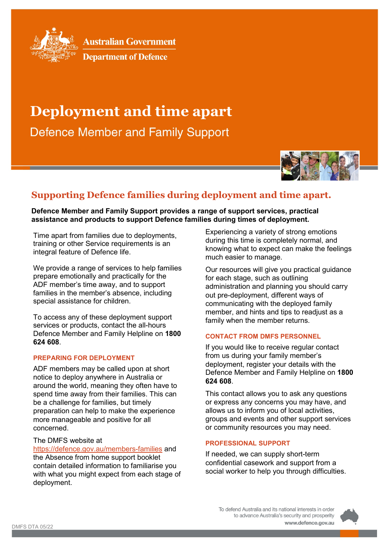

**Australian Government** 



# **Deployment and time apart**

**Defence Member and Family Support** 



# **Supporting Defence families during deployment and time apart.**

**Defence Member and Family Support provides a range of support services, practical assistance and products to support Defence families during times of deployment.**

Time apart from families due to deployments, training or other Service requirements is an integral feature of Defence life.

We provide a range of services to help families prepare emotionally and practically for the ADF member's time away, and to support families in the member's absence, including special assistance for children.

To access any of these deployment support services or products, contact the all-hours Defence Member and Family Helpline on **1800 624 608**.

# **PREPARING FOR DEPLOYMENT**

ADF members may be called upon at short notice to deploy anywhere in Australia or around the world, meaning they often have to spend time away from their families. This can be a challenge for families, but timely preparation can help to make the experience more manageable and positive for all concerned.

# The DMFS website at

<https://defence.gov.au/members-families> and the Absence from home support booklet contain detailed information to familiarise you with what you might expect from each stage of deployment.

Experiencing a variety of strong emotions during this time is completely normal, and knowing what to expect can make the feelings much easier to manage.

Our resources will give you practical guidance for each stage, such as outlining administration and planning you should carry out pre-deployment, different ways of communicating with the deployed family member, and hints and tips to readjust as a family when the member returns.

#### **CONTACT FROM DMFS PERSONNEL**

If you would like to receive regular contact from us during your family member's deployment, register your details with the Defence Member and Family Helpline on **1800 624 608**.

This contact allows you to ask any questions or express any concerns you may have, and allows us to inform you of local activities, groups and events and other support services or community resources you may need.

#### **PROFESSIONAL SUPPORT**

If needed, we can supply short-term confidential casework and support from a social worker to help you through difficulties.